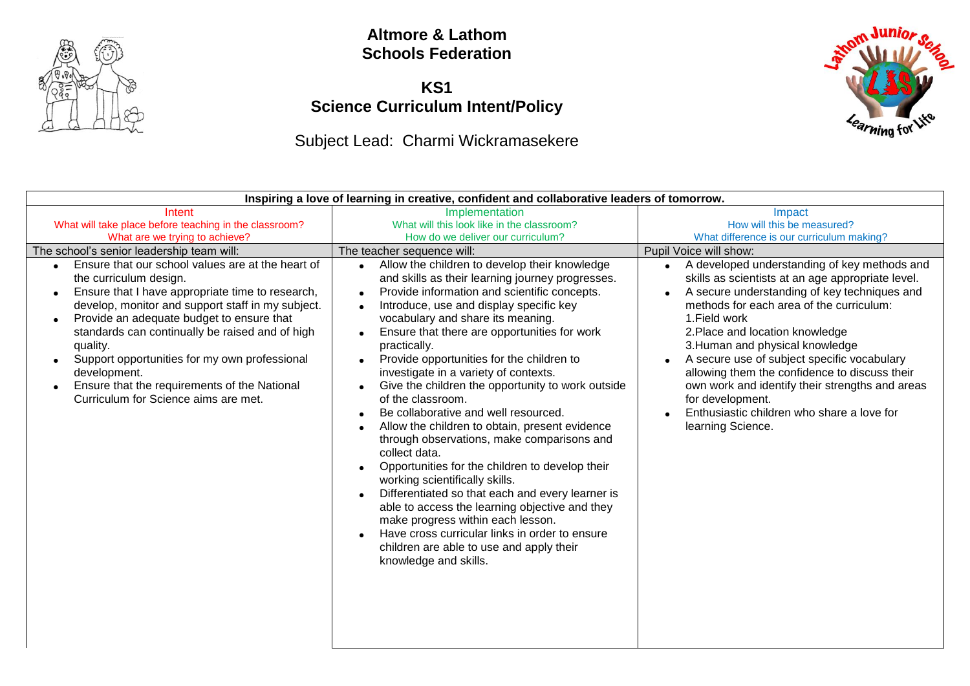

#### **Altmore & Lathom Schools Federation**

### **KS1 Science Curriculum Intent/Policy**

# Subject Lead: Charmi Wickramasekere

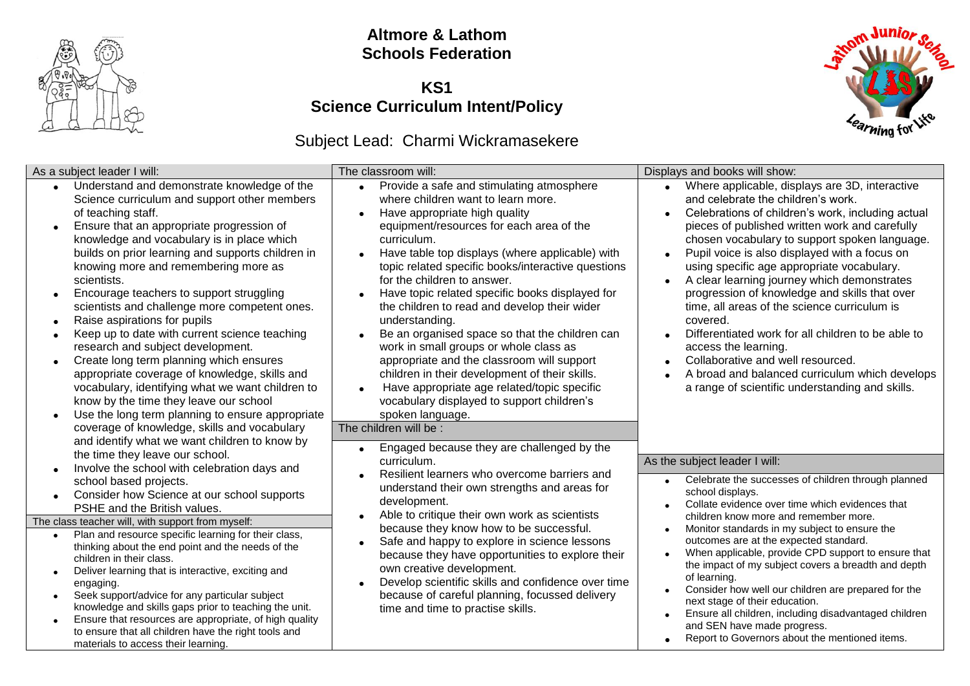

### **Altmore & Lathom Schools Federation**

### **KS1 Science Curriculum Intent/Policy**



# Subject Lead: Charmi Wickramasekere

| As a subject leader I will:                                                                                                                                                                                                                                                                                                                                                                                                                                                                                                                                                                                                                                                                                                                                                                            | The classroom will:                                                                                                                                                                                                                                                                                                                                                                                                                                                                                                                                                                                                                                                                                                                                                                          | Displays and books will show:                                                                                                                                                                                                                                                                                                                                                                                                                                                                                                                                                                                                                                                                                                   |
|--------------------------------------------------------------------------------------------------------------------------------------------------------------------------------------------------------------------------------------------------------------------------------------------------------------------------------------------------------------------------------------------------------------------------------------------------------------------------------------------------------------------------------------------------------------------------------------------------------------------------------------------------------------------------------------------------------------------------------------------------------------------------------------------------------|----------------------------------------------------------------------------------------------------------------------------------------------------------------------------------------------------------------------------------------------------------------------------------------------------------------------------------------------------------------------------------------------------------------------------------------------------------------------------------------------------------------------------------------------------------------------------------------------------------------------------------------------------------------------------------------------------------------------------------------------------------------------------------------------|---------------------------------------------------------------------------------------------------------------------------------------------------------------------------------------------------------------------------------------------------------------------------------------------------------------------------------------------------------------------------------------------------------------------------------------------------------------------------------------------------------------------------------------------------------------------------------------------------------------------------------------------------------------------------------------------------------------------------------|
| Understand and demonstrate knowledge of the<br>$\bullet$<br>Science curriculum and support other members<br>of teaching staff.<br>Ensure that an appropriate progression of<br>knowledge and vocabulary is in place which<br>builds on prior learning and supports children in<br>knowing more and remembering more as<br>scientists.<br>Encourage teachers to support struggling<br>scientists and challenge more competent ones.<br>Raise aspirations for pupils<br>Keep up to date with current science teaching<br>research and subject development.<br>Create long term planning which ensures<br>appropriate coverage of knowledge, skills and<br>vocabulary, identifying what we want children to<br>know by the time they leave our school<br>Use the long term planning to ensure appropriate | Provide a safe and stimulating atmosphere<br>$\bullet$<br>where children want to learn more.<br>Have appropriate high quality<br>$\bullet$<br>equipment/resources for each area of the<br>curriculum.<br>Have table top displays (where applicable) with<br>topic related specific books/interactive questions<br>for the children to answer.<br>Have topic related specific books displayed for<br>the children to read and develop their wider<br>understanding.<br>Be an organised space so that the children can<br>work in small groups or whole class as<br>appropriate and the classroom will support<br>children in their development of their skills.<br>Have appropriate age related/topic specific<br>$\bullet$<br>vocabulary displayed to support children's<br>spoken language. | Where applicable, displays are 3D, interactive<br>and celebrate the children's work.<br>Celebrations of children's work, including actual<br>pieces of published written work and carefully<br>chosen vocabulary to support spoken language.<br>Pupil voice is also displayed with a focus on<br>using specific age appropriate vocabulary.<br>A clear learning journey which demonstrates<br>progression of knowledge and skills that over<br>time, all areas of the science curriculum is<br>covered.<br>Differentiated work for all children to be able to<br>access the learning.<br>Collaborative and well resourced.<br>A broad and balanced curriculum which develops<br>a range of scientific understanding and skills. |
| coverage of knowledge, skills and vocabulary<br>and identify what we want children to know by<br>the time they leave our school.<br>Involve the school with celebration days and<br>school based projects.<br>Consider how Science at our school supports<br>$\bullet$<br>PSHE and the British values.                                                                                                                                                                                                                                                                                                                                                                                                                                                                                                 | The children will be :<br>Engaged because they are challenged by the<br>curriculum.<br>Resilient learners who overcome barriers and<br>understand their own strengths and areas for<br>development.                                                                                                                                                                                                                                                                                                                                                                                                                                                                                                                                                                                          | As the subject leader I will:<br>Celebrate the successes of children through planned<br>school displays.<br>Collate evidence over time which evidences that                                                                                                                                                                                                                                                                                                                                                                                                                                                                                                                                                                     |
| The class teacher will, with support from myself:                                                                                                                                                                                                                                                                                                                                                                                                                                                                                                                                                                                                                                                                                                                                                      | Able to critique their own work as scientists<br>$\bullet$                                                                                                                                                                                                                                                                                                                                                                                                                                                                                                                                                                                                                                                                                                                                   | children know more and remember more.                                                                                                                                                                                                                                                                                                                                                                                                                                                                                                                                                                                                                                                                                           |
| Plan and resource specific learning for their class,<br>thinking about the end point and the needs of the<br>children in their class.<br>Deliver learning that is interactive, exciting and<br>engaging.<br>Seek support/advice for any particular subject<br>knowledge and skills gaps prior to teaching the unit.<br>Ensure that resources are appropriate, of high quality<br>to ensure that all children have the right tools and<br>materials to access their learning.                                                                                                                                                                                                                                                                                                                           | because they know how to be successful.<br>Safe and happy to explore in science lessons<br>because they have opportunities to explore their<br>own creative development.<br>Develop scientific skills and confidence over time<br>because of careful planning, focussed delivery<br>time and time to practise skills.                                                                                                                                                                                                                                                                                                                                                                                                                                                                        | Monitor standards in my subject to ensure the<br>outcomes are at the expected standard.<br>When applicable, provide CPD support to ensure that<br>the impact of my subject covers a breadth and depth<br>of learning.<br>Consider how well our children are prepared for the<br>next stage of their education.<br>Ensure all children, including disadvantaged children<br>and SEN have made progress.<br>Report to Governors about the mentioned items.                                                                                                                                                                                                                                                                        |